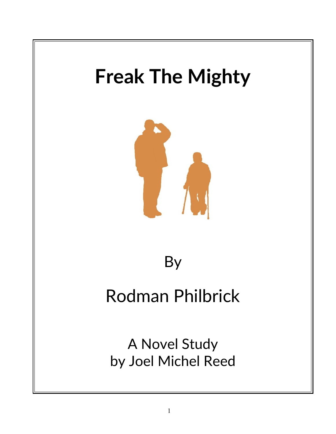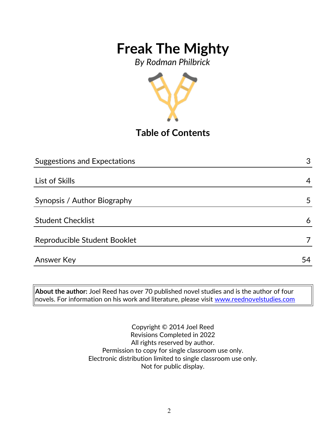*By Rodman Philbrick*



**Table of Contents**

| <b>Suggestions and Expectations</b> | 3  |
|-------------------------------------|----|
|                                     |    |
| List of Skills                      | 4  |
|                                     |    |
| Synopsis / Author Biography         | 5  |
| <b>Student Checklist</b>            | 6  |
| Reproducible Student Booklet        |    |
| <b>Answer Key</b>                   | 54 |
|                                     |    |

**About the author:** Joel Reed has over 70 published novel studies and is the author of four novels. For information on his work and literature, please visit [www.reednovelstudies.com](http://www.reednovelstudies.com/)

> Copyright © 2014 Joel Reed Revisions Completed in 2022 All rights reserved by author. Permission to copy for single classroom use only. Electronic distribution limited to single classroom use only. Not for public display.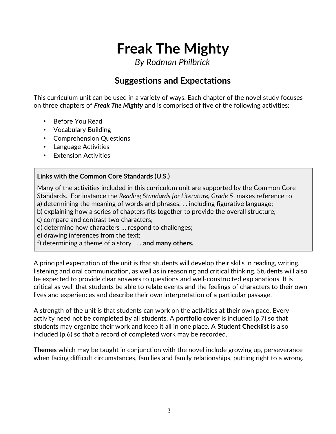*By Rodman Philbrick*

## **Suggestions and Expectations**

This curriculum unit can be used in a variety of ways. Each chapter of the novel study focuses on three chapters of *Freak The Mighty* and is comprised of five of the following activities:

- Before You Read
- Vocabulary Building
- Comprehension Questions
- Language Activities
- Extension Activities

#### **Links with the Common Core Standards (U.S.)**

Many of the activities included in this curriculum unit are supported by the Common Core Standards. For instance the *Reading Standards for Literature, Grade 5*, makes reference to a) determining the meaning of words and phrases. . . including figurative language;

- b) explaining how a series of chapters fits together to provide the overall structure;
- c) compare and contrast two characters;
- d) determine how characters … respond to challenges;
- e) drawing inferences from the text;
- f) determining a theme of a story . . . **and many others.**

A principal expectation of the unit is that students will develop their skills in reading, writing, listening and oral communication, as well as in reasoning and critical thinking. Students will also be expected to provide clear answers to questions and well-constructed explanations. It is critical as well that students be able to relate events and the feelings of characters to their own lives and experiences and describe their own interpretation of a particular passage.

A strength of the unit is that students can work on the activities at their own pace. Every activity need not be completed by all students. A **portfolio cover** is included (p.7) so that students may organize their work and keep it all in one place. A **Student Checklist** is also included (p.6) so that a record of completed work may be recorded.

**Themes** which may be taught in conjunction with the novel include growing up, perseverance when facing difficult circumstances, families and family relationships, putting right to a wrong.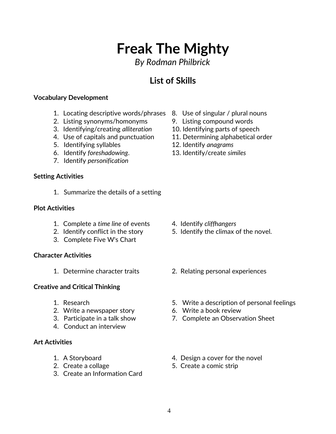*By Rodman Philbrick*

## **List of Skills**

#### **Vocabulary Development**

- 1. Locating descriptive words/phrases 8. Use of singular / plural nouns
- 2. Listing synonyms/homonyms 9. Listing compound words
- 3. Identifying/creating *alliteration* 10. Identifying parts of speech
- 
- 5. Identifying syllables 12. Identify *anagrams*
- 
- 7. Identify *personification*

#### **Setting Activities**

1. Summarize the details of a setting

#### **Plot Activities**

- 1. Complete a *time line* of events 4. Identify *cliffhangers*
- 
- 3. Complete Five W's Chart

#### **Character Activities**

#### **Creative and Critical Thinking**

- 
- 2. Write a newspaper story 6. Write a book review
- 
- 4. Conduct an interview

#### **Art Activities**

- 
- 
- 3. Create an Information Card
- 
- 
- 
- 4. Use of capitals and punctuation 11. Determining alphabetical order
	-
- 6. Identify *foreshadowing*. 13. Identify/create *similes*

- 
- 2. Identify conflict in the story 5. Identify the climax of the novel.
- 1. Determine character traits 2. Relating personal experiences
- 1. Research 5. Write a description of personal feelings
	-
- 3. Participate in a talk show 7. Complete an Observation Sheet
- 1. A Storyboard 4. Design a cover for the novel
- 2. Create a collage 5. Create a comic strip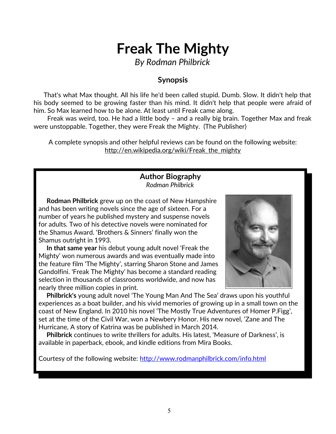*By Rodman Philbrick*

### **Synopsis**

 That's what Max thought. All his life he'd been called stupid. Dumb. Slow. It didn't help that his body seemed to be growing faster than his mind. It didn't help that people were afraid of him. So Max learned how to be alone. At least until Freak came along.

 Freak was weird, too. He had a little body – and a really big brain. Together Max and freak were unstoppable. Together, they were Freak the Mighty. (The Publisher)

A complete synopsis and other helpful reviews can be found on the following website: http://en.wikipedia.org/wiki/Freak\_the\_mighty

## **Author Biography**

*Rodman Philbrick*

 **Rodman Philbrick** grew up on the coast of New Hampshire and has been writing novels since the age of sixteen. For a number of years he published mystery and suspense novels for adults. Two of his detective novels were nominated for the Shamus Award. 'Brothers & Sinners' finally won the Shamus outright in 1993.

 **In that same year** his debut young adult novel 'Freak the Mighty' won numerous awards and was eventually made into the feature film 'The Mighty', starring Sharon Stone and James Gandolfini. 'Freak The Mighty' has become a standard reading selection in thousands of classrooms worldwide, and now has nearly three million copies in print.



 **Philbrick's** young adult novel 'The Young Man And The Sea' draws upon his youthful experiences as a boat builder, and his vivid memories of growing up in a small town on the coast of New England. In 2010 his novel 'The Mostly True Adventures of Homer P.Figg', set at the time of the Civil War, won a Newbery Honor. His new novel, 'Zane and The Hurricane, A story of Katrina was be published in March 2014.

 **Philbrick** continues to write thrillers for adults. His latest, 'Measure of Darkness', is available in paperback, ebook, and kindle editions from Mira Books.

Courtesy of the following website:<http://www.rodmanphilbrick.com/info.html>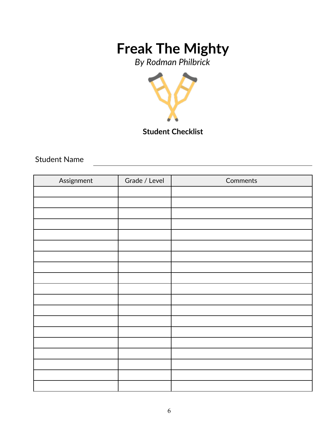*By Rodman Philbrick*



**Student Checklist**

Student Name

| Assignment | Grade / Level | Comments |
|------------|---------------|----------|
|            |               |          |
|            |               |          |
|            |               |          |
|            |               |          |
|            |               |          |
|            |               |          |
|            |               |          |
|            |               |          |
|            |               |          |
|            |               |          |
|            |               |          |
|            |               |          |
|            |               |          |
|            |               |          |
|            |               |          |
|            |               |          |
|            |               |          |
|            |               |          |
|            |               |          |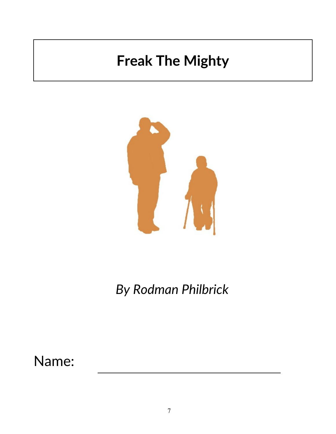

*By Rodman Philbrick*

Name: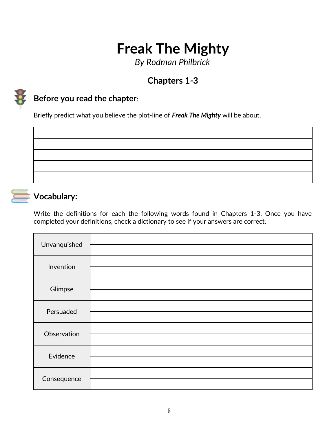*By Rodman Philbrick*

## **Chapters 1***-***3**



## **Before you read the chapter**:

Briefly predict what you believe the plot-line of *Freak The Mighty* will be about.



### **Vocabulary:**

Write the definitions for each the following words found in Chapters 1-3. Once you have completed your definitions, check a dictionary to see if your answers are correct.

| Unvanquished |  |
|--------------|--|
| Invention    |  |
| Glimpse      |  |
| Persuaded    |  |
| Observation  |  |
| Evidence     |  |
| Consequence  |  |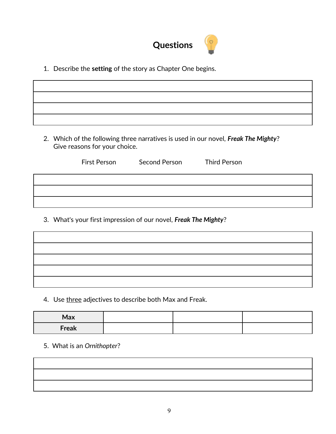

1. Describe the **setting** of the story as Chapter One begins.

2. Which of the following three narratives is used in our novel, *Freak The Mighty*? Give reasons for your choice.

| First Person | Second Person | <b>Third Person</b> |
|--------------|---------------|---------------------|
|              |               |                     |
|              |               |                     |
|              |               |                     |

3. What's your first impression of our novel, *Freak The Mighty*?

4. Use three adjectives to describe both Max and Freak.

| Max   |  |  |
|-------|--|--|
| Freak |  |  |

5. What is an *Ornithopter*?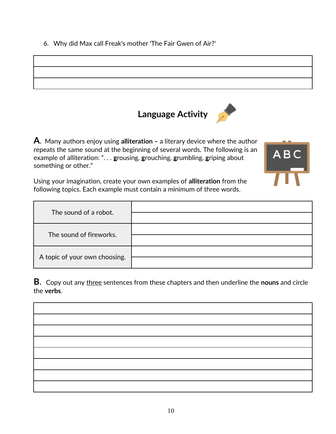6. Why did Max call Freak's mother 'The Fair Gwen of Air?'





**A**. Many authors enjoy using **alliteration –** a literary device where the author repeats the same sound at the beginning of several words. The following is an example of alliteration: ". . . **g**rousing, **g**rouching, **g**rumbling, **g**riping about something or other."



Using your imagination, create your own examples of **alliteration** from the following topics. Each example must contain a minimum of three words.

| The sound of a robot.         |  |
|-------------------------------|--|
| The sound of fireworks.       |  |
| A topic of your own choosing. |  |

**B**. Copy out any three sentences from these chapters and then underline the **nouns** and circle the **verbs**.

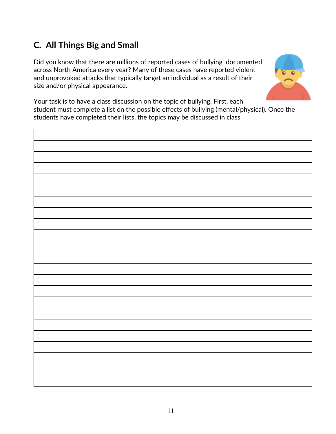## **C***.* **All Things Big and Small**

Did you know that there are millions of reported cases of bullying documented across North America every year? Many of these cases have reported violent and unprovoked attacks that typically target an individual as a result of their size and/or physical appearance.



Your task is to have a class discussion on the topic of bullying. First, each student must complete a list on the possible effects of bullying (mental/physical). Once the students have completed their lists, the topics may be discussed in class